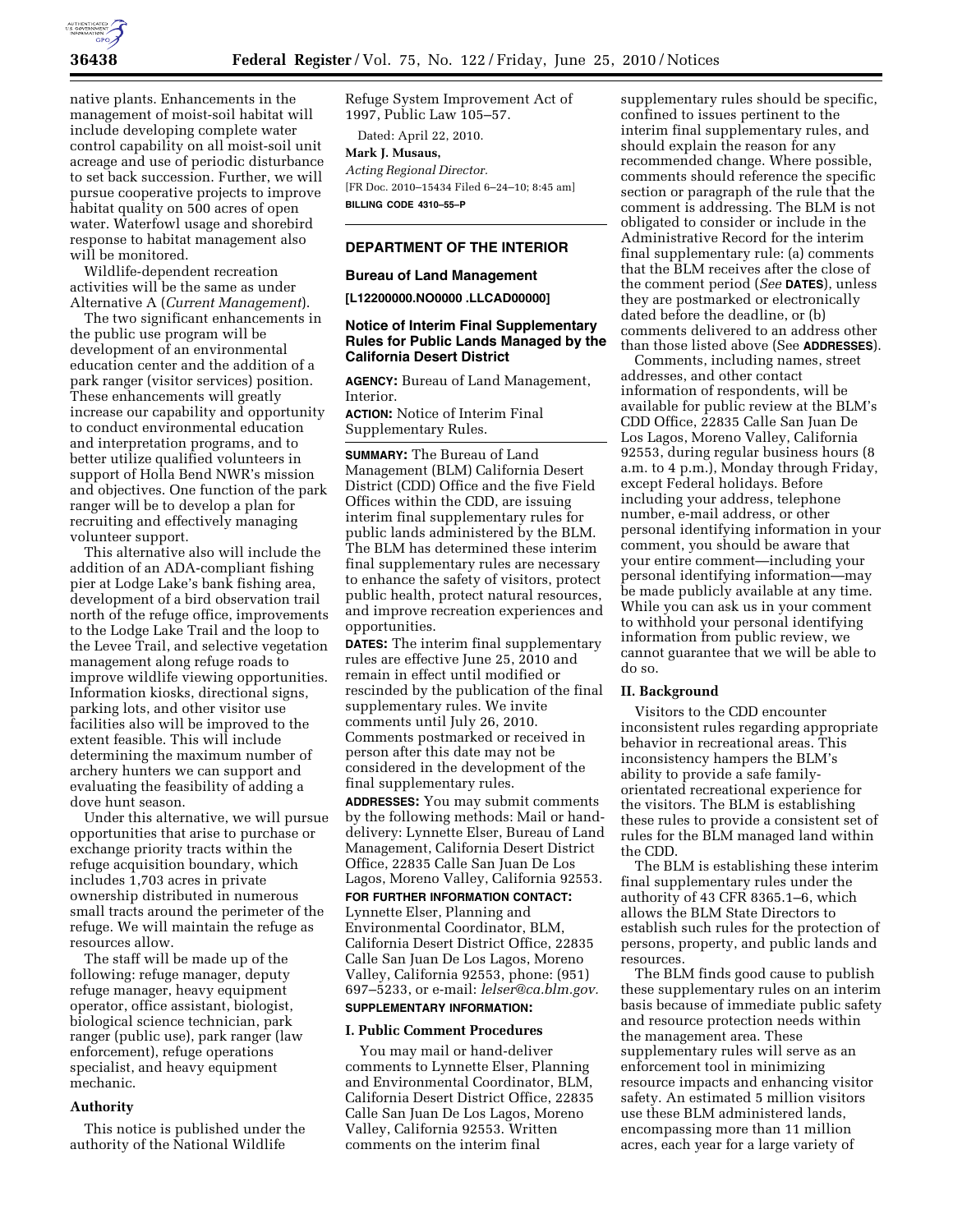

native plants. Enhancements in the management of moist-soil habitat will include developing complete water control capability on all moist-soil unit acreage and use of periodic disturbance to set back succession. Further, we will pursue cooperative projects to improve habitat quality on 500 acres of open water. Waterfowl usage and shorebird response to habitat management also will be monitored.

Wildlife-dependent recreation activities will be the same as under Alternative A (*Current Management*).

The two significant enhancements in the public use program will be development of an environmental education center and the addition of a park ranger (visitor services) position. These enhancements will greatly increase our capability and opportunity to conduct environmental education and interpretation programs, and to better utilize qualified volunteers in support of Holla Bend NWR's mission and objectives. One function of the park ranger will be to develop a plan for recruiting and effectively managing volunteer support.

This alternative also will include the addition of an ADA-compliant fishing pier at Lodge Lake's bank fishing area, development of a bird observation trail north of the refuge office, improvements to the Lodge Lake Trail and the loop to the Levee Trail, and selective vegetation management along refuge roads to improve wildlife viewing opportunities. Information kiosks, directional signs, parking lots, and other visitor use facilities also will be improved to the extent feasible. This will include determining the maximum number of archery hunters we can support and evaluating the feasibility of adding a dove hunt season.

Under this alternative, we will pursue opportunities that arise to purchase or exchange priority tracts within the refuge acquisition boundary, which includes 1,703 acres in private ownership distributed in numerous small tracts around the perimeter of the refuge. We will maintain the refuge as resources allow.

The staff will be made up of the following: refuge manager, deputy refuge manager, heavy equipment operator, office assistant, biologist, biological science technician, park ranger (public use), park ranger (law enforcement), refuge operations specialist, and heavy equipment mechanic.

#### **Authority**

This notice is published under the authority of the National Wildlife

Refuge System Improvement Act of 1997, Public Law 105–57. Dated: April 22, 2010.

**Mark J. Musaus,**  *Acting Regional Director.*  [FR Doc. 2010–15434 Filed 6–24–10; 8:45 am] **BILLING CODE 4310–55–P** 

# **DEPARTMENT OF THE INTERIOR**

#### **Bureau of Land Management**

**[L12200000.NO0000 .LLCAD00000]** 

# **Notice of Interim Final Supplementary Rules for Public Lands Managed by the California Desert District**

**AGENCY:** Bureau of Land Management, Interior.

**ACTION:** Notice of Interim Final Supplementary Rules.

**SUMMARY:** The Bureau of Land Management (BLM) California Desert District (CDD) Office and the five Field Offices within the CDD, are issuing interim final supplementary rules for public lands administered by the BLM. The BLM has determined these interim final supplementary rules are necessary to enhance the safety of visitors, protect public health, protect natural resources, and improve recreation experiences and opportunities.

**DATES:** The interim final supplementary rules are effective June 25, 2010 and remain in effect until modified or rescinded by the publication of the final supplementary rules. We invite comments until July 26, 2010. Comments postmarked or received in person after this date may not be considered in the development of the final supplementary rules.

**ADDRESSES:** You may submit comments by the following methods: Mail or handdelivery: Lynnette Elser, Bureau of Land Management, California Desert District Office, 22835 Calle San Juan De Los Lagos, Moreno Valley, California 92553.

**FOR FURTHER INFORMATION CONTACT:**  Lynnette Elser, Planning and Environmental Coordinator, BLM, California Desert District Office, 22835 Calle San Juan De Los Lagos, Moreno Valley, California 92553, phone: (951) 697–5233, or e-mail: *lelser@ca.blm.gov.*  **SUPPLEMENTARY INFORMATION:** 

### **I. Public Comment Procedures**

You may mail or hand-deliver comments to Lynnette Elser, Planning and Environmental Coordinator, BLM, California Desert District Office, 22835 Calle San Juan De Los Lagos, Moreno Valley, California 92553. Written comments on the interim final

supplementary rules should be specific, confined to issues pertinent to the interim final supplementary rules, and should explain the reason for any recommended change. Where possible, comments should reference the specific section or paragraph of the rule that the comment is addressing. The BLM is not obligated to consider or include in the Administrative Record for the interim final supplementary rule: (a) comments that the BLM receives after the close of the comment period (*See* **DATES**), unless they are postmarked or electronically dated before the deadline, or (b) comments delivered to an address other than those listed above (See **ADDRESSES**).

Comments, including names, street addresses, and other contact information of respondents, will be available for public review at the BLM's CDD Office, 22835 Calle San Juan De Los Lagos, Moreno Valley, California 92553, during regular business hours (8 a.m. to 4 p.m.), Monday through Friday, except Federal holidays. Before including your address, telephone number, e-mail address, or other personal identifying information in your comment, you should be aware that your entire comment—including your personal identifying information—may be made publicly available at any time. While you can ask us in your comment to withhold your personal identifying information from public review, we cannot guarantee that we will be able to do so.

# **II. Background**

Visitors to the CDD encounter inconsistent rules regarding appropriate behavior in recreational areas. This inconsistency hampers the BLM's ability to provide a safe familyorientated recreational experience for the visitors. The BLM is establishing these rules to provide a consistent set of rules for the BLM managed land within the CDD.

The BLM is establishing these interim final supplementary rules under the authority of 43 CFR 8365.1–6, which allows the BLM State Directors to establish such rules for the protection of persons, property, and public lands and resources.

The BLM finds good cause to publish these supplementary rules on an interim basis because of immediate public safety and resource protection needs within the management area. These supplementary rules will serve as an enforcement tool in minimizing resource impacts and enhancing visitor safety. An estimated 5 million visitors use these BLM administered lands, encompassing more than 11 million acres, each year for a large variety of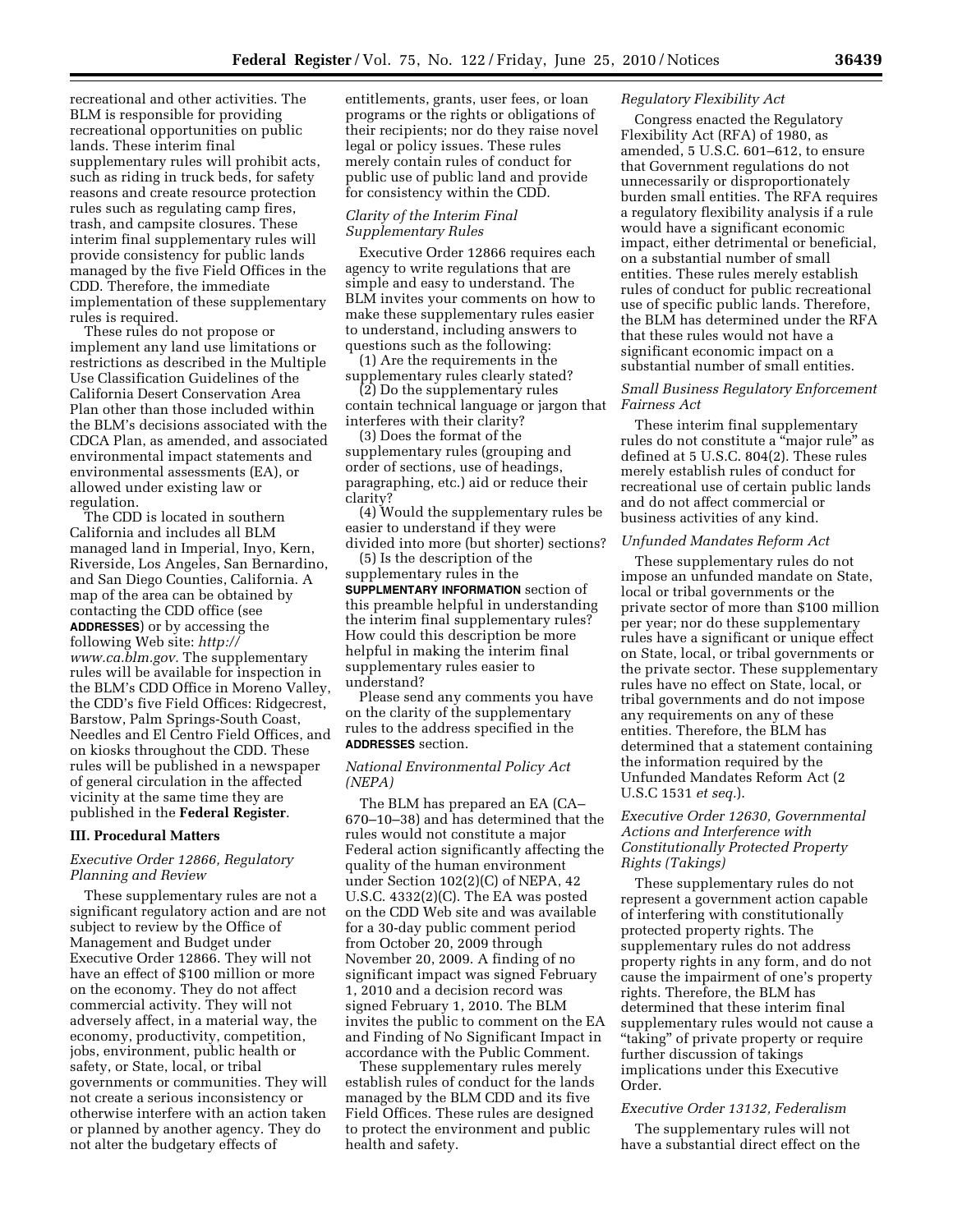recreational and other activities. The BLM is responsible for providing recreational opportunities on public lands. These interim final supplementary rules will prohibit acts, such as riding in truck beds, for safety reasons and create resource protection rules such as regulating camp fires, trash, and campsite closures. These interim final supplementary rules will provide consistency for public lands managed by the five Field Offices in the CDD. Therefore, the immediate implementation of these supplementary rules is required.

These rules do not propose or implement any land use limitations or restrictions as described in the Multiple Use Classification Guidelines of the California Desert Conservation Area Plan other than those included within the BLM's decisions associated with the CDCA Plan, as amended, and associated environmental impact statements and environmental assessments (EA), or allowed under existing law or regulation.

The CDD is located in southern California and includes all BLM managed land in Imperial, Inyo, Kern, Riverside, Los Angeles, San Bernardino, and San Diego Counties, California. A map of the area can be obtained by contacting the CDD office (see **ADDRESSES**) or by accessing the following Web site: *http:// www.ca.blm.gov.* The supplementary rules will be available for inspection in the BLM's CDD Office in Moreno Valley, the CDD's five Field Offices: Ridgecrest, Barstow, Palm Springs-South Coast, Needles and El Centro Field Offices, and on kiosks throughout the CDD. These rules will be published in a newspaper of general circulation in the affected vicinity at the same time they are published in the **Federal Register**.

### **III. Procedural Matters**

#### *Executive Order 12866, Regulatory Planning and Review*

These supplementary rules are not a significant regulatory action and are not subject to review by the Office of Management and Budget under Executive Order 12866. They will not have an effect of \$100 million or more on the economy. They do not affect commercial activity. They will not adversely affect, in a material way, the economy, productivity, competition, jobs, environment, public health or safety, or State, local, or tribal governments or communities. They will not create a serious inconsistency or otherwise interfere with an action taken or planned by another agency. They do not alter the budgetary effects of

entitlements, grants, user fees, or loan programs or the rights or obligations of their recipients; nor do they raise novel legal or policy issues. These rules merely contain rules of conduct for public use of public land and provide for consistency within the CDD.

### *Clarity of the Interim Final Supplementary Rules*

Executive Order 12866 requires each agency to write regulations that are simple and easy to understand. The BLM invites your comments on how to make these supplementary rules easier to understand, including answers to questions such as the following:

(1) Are the requirements in the supplementary rules clearly stated?

(2) Do the supplementary rules contain technical language or jargon that interferes with their clarity?

(3) Does the format of the supplementary rules (grouping and order of sections, use of headings, paragraphing, etc.) aid or reduce their clarity?

(4) Would the supplementary rules be easier to understand if they were divided into more (but shorter) sections?

(5) Is the description of the supplementary rules in the **SUPPLMENTARY INFORMATION** section of this preamble helpful in understanding the interim final supplementary rules? How could this description be more helpful in making the interim final supplementary rules easier to understand?

Please send any comments you have on the clarity of the supplementary rules to the address specified in the **ADDRESSES** section.

# *National Environmental Policy Act (NEPA)*

The BLM has prepared an EA (CA– 670–10–38) and has determined that the rules would not constitute a major Federal action significantly affecting the quality of the human environment under Section 102(2)(C) of NEPA, 42 U.S.C. 4332(2)(C). The EA was posted on the CDD Web site and was available for a 30-day public comment period from October 20, 2009 through November 20, 2009. A finding of no significant impact was signed February 1, 2010 and a decision record was signed February 1, 2010. The BLM invites the public to comment on the EA and Finding of No Significant Impact in accordance with the Public Comment.

These supplementary rules merely establish rules of conduct for the lands managed by the BLM CDD and its five Field Offices. These rules are designed to protect the environment and public health and safety.

#### *Regulatory Flexibility Act*

Congress enacted the Regulatory Flexibility Act (RFA) of 1980, as amended, 5 U.S.C. 601–612, to ensure that Government regulations do not unnecessarily or disproportionately burden small entities. The RFA requires a regulatory flexibility analysis if a rule would have a significant economic impact, either detrimental or beneficial, on a substantial number of small entities. These rules merely establish rules of conduct for public recreational use of specific public lands. Therefore, the BLM has determined under the RFA that these rules would not have a significant economic impact on a substantial number of small entities.

## *Small Business Regulatory Enforcement Fairness Act*

These interim final supplementary rules do not constitute a ''major rule'' as defined at 5 U.S.C. 804(2). These rules merely establish rules of conduct for recreational use of certain public lands and do not affect commercial or business activities of any kind.

#### *Unfunded Mandates Reform Act*

These supplementary rules do not impose an unfunded mandate on State, local or tribal governments or the private sector of more than \$100 million per year; nor do these supplementary rules have a significant or unique effect on State, local, or tribal governments or the private sector. These supplementary rules have no effect on State, local, or tribal governments and do not impose any requirements on any of these entities. Therefore, the BLM has determined that a statement containing the information required by the Unfunded Mandates Reform Act (2 U.S.C 1531 *et seq.*).

# *Executive Order 12630, Governmental Actions and Interference with Constitutionally Protected Property Rights (Takings)*

These supplementary rules do not represent a government action capable of interfering with constitutionally protected property rights. The supplementary rules do not address property rights in any form, and do not cause the impairment of one's property rights. Therefore, the BLM has determined that these interim final supplementary rules would not cause a ''taking'' of private property or require further discussion of takings implications under this Executive Order.

# *Executive Order 13132, Federalism*

The supplementary rules will not have a substantial direct effect on the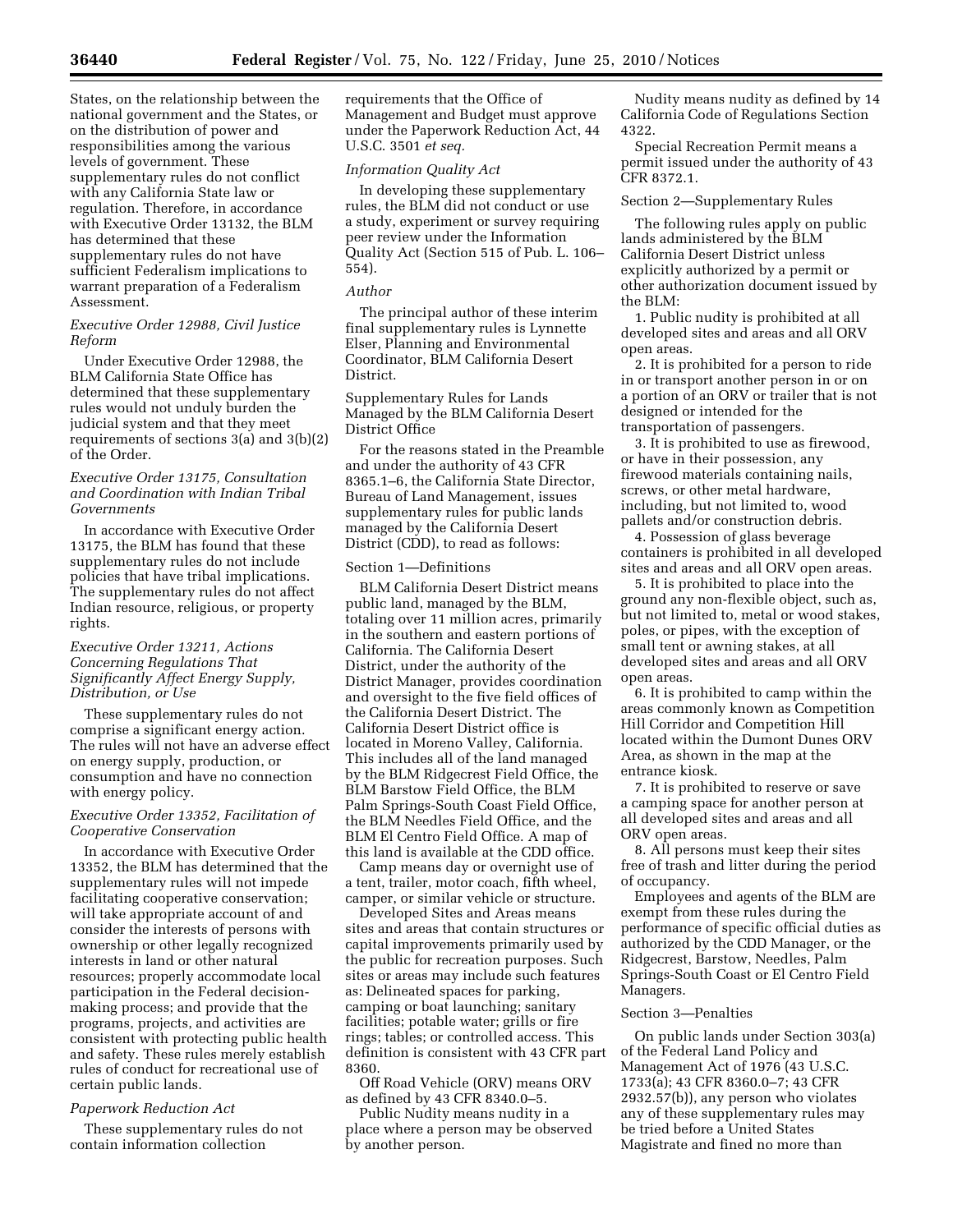States, on the relationship between the national government and the States, or on the distribution of power and responsibilities among the various levels of government. These supplementary rules do not conflict with any California State law or regulation. Therefore, in accordance with Executive Order 13132, the BLM has determined that these supplementary rules do not have sufficient Federalism implications to warrant preparation of a Federalism Assessment.

### *Executive Order 12988, Civil Justice Reform*

Under Executive Order 12988, the BLM California State Office has determined that these supplementary rules would not unduly burden the judicial system and that they meet requirements of sections 3(a) and 3(b)(2) of the Order.

# *Executive Order 13175, Consultation and Coordination with Indian Tribal Governments*

In accordance with Executive Order 13175, the BLM has found that these supplementary rules do not include policies that have tribal implications. The supplementary rules do not affect Indian resource, religious, or property rights.

# *Executive Order 13211, Actions Concerning Regulations That Significantly Affect Energy Supply, Distribution, or Use*

These supplementary rules do not comprise a significant energy action. The rules will not have an adverse effect on energy supply, production, or consumption and have no connection with energy policy.

# *Executive Order 13352, Facilitation of Cooperative Conservation*

In accordance with Executive Order 13352, the BLM has determined that the supplementary rules will not impede facilitating cooperative conservation; will take appropriate account of and consider the interests of persons with ownership or other legally recognized interests in land or other natural resources; properly accommodate local participation in the Federal decisionmaking process; and provide that the programs, projects, and activities are consistent with protecting public health and safety. These rules merely establish rules of conduct for recreational use of certain public lands.

# *Paperwork Reduction Act*

These supplementary rules do not contain information collection

requirements that the Office of Management and Budget must approve under the Paperwork Reduction Act, 44 U.S.C. 3501 *et seq.* 

### *Information Quality Act*

In developing these supplementary rules, the BLM did not conduct or use a study, experiment or survey requiring peer review under the Information Quality Act (Section 515 of Pub. L. 106– 554).

# *Author*

The principal author of these interim final supplementary rules is Lynnette Elser, Planning and Environmental Coordinator, BLM California Desert District.

Supplementary Rules for Lands Managed by the BLM California Desert District Office

For the reasons stated in the Preamble and under the authority of 43 CFR 8365.1–6, the California State Director, Bureau of Land Management, issues supplementary rules for public lands managed by the California Desert District (CDD), to read as follows:

### Section 1—Definitions

BLM California Desert District means public land, managed by the BLM, totaling over 11 million acres, primarily in the southern and eastern portions of California. The California Desert District, under the authority of the District Manager, provides coordination and oversight to the five field offices of the California Desert District. The California Desert District office is located in Moreno Valley, California. This includes all of the land managed by the BLM Ridgecrest Field Office, the BLM Barstow Field Office, the BLM Palm Springs-South Coast Field Office, the BLM Needles Field Office, and the BLM El Centro Field Office. A map of this land is available at the CDD office.

Camp means day or overnight use of a tent, trailer, motor coach, fifth wheel, camper, or similar vehicle or structure.

Developed Sites and Areas means sites and areas that contain structures or capital improvements primarily used by the public for recreation purposes. Such sites or areas may include such features as: Delineated spaces for parking, camping or boat launching; sanitary facilities; potable water; grills or fire rings; tables; or controlled access. This definition is consistent with 43 CFR part 8360.

Off Road Vehicle (ORV) means ORV as defined by 43 CFR 8340.0–5.

Public Nudity means nudity in a place where a person may be observed by another person.

Nudity means nudity as defined by 14 California Code of Regulations Section 4322.

Special Recreation Permit means a permit issued under the authority of 43 CFR 8372.1.

#### Section 2—Supplementary Rules

The following rules apply on public lands administered by the BLM California Desert District unless explicitly authorized by a permit or other authorization document issued by the BLM:

1. Public nudity is prohibited at all developed sites and areas and all ORV open areas.

2. It is prohibited for a person to ride in or transport another person in or on a portion of an ORV or trailer that is not designed or intended for the transportation of passengers.

3. It is prohibited to use as firewood, or have in their possession, any firewood materials containing nails, screws, or other metal hardware, including, but not limited to, wood pallets and/or construction debris.

4. Possession of glass beverage containers is prohibited in all developed sites and areas and all ORV open areas.

5. It is prohibited to place into the ground any non-flexible object, such as, but not limited to, metal or wood stakes, poles, or pipes, with the exception of small tent or awning stakes, at all developed sites and areas and all ORV open areas.

6. It is prohibited to camp within the areas commonly known as Competition Hill Corridor and Competition Hill located within the Dumont Dunes ORV Area, as shown in the map at the entrance kiosk.

7. It is prohibited to reserve or save a camping space for another person at all developed sites and areas and all ORV open areas.

8. All persons must keep their sites free of trash and litter during the period of occupancy.

Employees and agents of the BLM are exempt from these rules during the performance of specific official duties as authorized by the CDD Manager, or the Ridgecrest, Barstow, Needles, Palm Springs-South Coast or El Centro Field Managers.

#### Section 3—Penalties

On public lands under Section 303(a) of the Federal Land Policy and Management Act of 1976 (43 U.S.C. 1733(a); 43 CFR 8360.0–7; 43 CFR 2932.57(b)), any person who violates any of these supplementary rules may be tried before a United States Magistrate and fined no more than